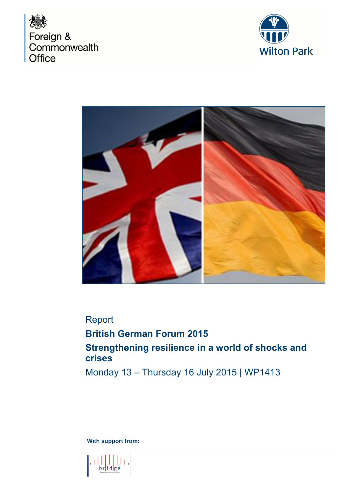





## Report

**British German Forum 2015 Strengthening resilience in a world of shocks and crises**

Monday 13 – Thursday 16 July 2015 | WP1413

**With support from:** 

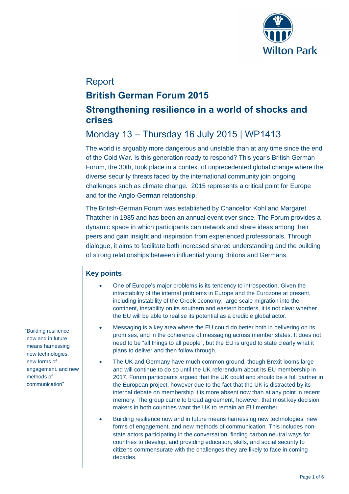

## Report

## **British German Forum 2015**

## **Strengthening resilience in a world of shocks and crises**

# Monday 13 – Thursday 16 July 2015 | WP1413

The world is arguably more dangerous and unstable than at any time since the end of the Cold War. Is this generation ready to respond? This year's British German Forum, the 30th, took place in a context of unprecedented global change where the diverse security threats faced by the international community join ongoing challenges such as climate change. 2015 represents a critical point for Europe and for the Anglo-German relationship.

The British-German Forum was established by Chancellor Kohl and Margaret Thatcher in 1985 and has been an annual event ever since. The Forum provides a dynamic space in which participants can network and share ideas among their peers and gain insight and inspiration from experienced professionals. Through dialogue, it aims to facilitate both increased shared understanding and the building of strong relationships between influential young Britons and Germans.

## **Key points**

- One of Europe's major problems is its tendency to introspection. Given the intractability of the internal problems in Europe and the Eurozone at present, including instability of the Greek economy, large scale migration into the continent, instability on its southern and eastern borders, it is not clear whether the EU will be able to realise its potential as a credible global actor.
- Messaging is a key area where the EU could do better both in delivering on its promises, and in the coherence of messaging across member states. It does not need to be "all things to all people", but the EU is urged to state clearly what it plans to deliver and then follow through.
- The UK and Germany have much common ground, though Brexit looms large and will continue to do so until the UK referendum about its EU membership in 2017. Forum participants argued that the UK could and should be a full partner in the European project, however due to the fact that the UK is distracted by its internal debate on membership it is more absent now than at any point in recent memory. The group came to broad agreement, however, that most key decision makers in both countries want the UK to remain an EU member.
- Building resilience now and in future means harnessing new technologies, new forms of engagement, and new methods of communication. This includes nonstate actors participating in the conversation, finding carbon neutral ways for countries to develop, and providing education, skills, and social security to citizens commensurate with the challenges they are likely to face in coming decades.

"Building resilience now and in future means harnessing new technologies, new forms of engagement, and new methods of communication"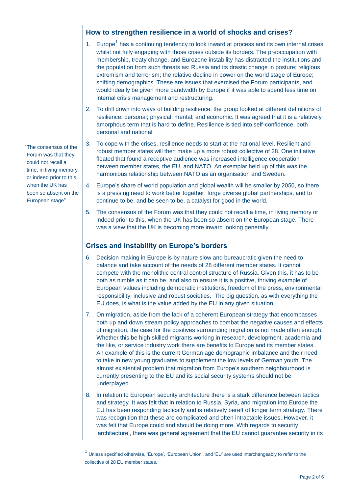## **How to strengthen resilience in a world of shocks and crises?**

- 1. Europe<sup>1</sup> has a continuing tendency to look inward at process and its own internal crises whilst not fully engaging with those crises outside its borders. The preoccupation with membership, treaty change, and Eurozone instability has distracted the institutions and the population from such threats as: Russia and its drastic change in posture; religious extremism and terrorism; the relative decline in power on the world stage of Europe; shifting demographics. These are issues that exercised the Forum participants, and would ideally be given more bandwidth by Europe if it was able to spend less time on internal crisis management and restructuring.
- 2. To drill down into ways of building resilience, the group looked at different definitions of resilience: personal; physical; mental; and economic. It was agreed that it is a relatively amorphous term that is hard to define. Resilience is tied into self-confidence, both personal and national
- 3. To cope with the crises, resilience needs to start at the national level. Resilient and robust member states will then make up a more robust collective of 28. One initiative floated that found a receptive audience was increased intelligence cooperation between member states, the EU, and NATO. An exemplar held up of this was the harmonious relationship between NATO as an organisation and Sweden.
- 4. Europe's share of world population and global wealth will be smaller by 2050, so there is a pressing need to work better together, forge diverse global partnerships, and to continue to be, and be seen to be, a catalyst for good in the world.
- 5. The consensus of the Forum was that they could not recall a time, in living memory or indeed prior to this, when the UK has been so absent on the European stage. There was a view that the UK is becoming more inward looking generally.

### **Crises and instability on Europe's borders**

- 6. Decision making in Europe is by nature slow and bureaucratic given the need to balance and take account of the needs of 28 different member states. It cannot compete with the monolithic central control structure of Russia. Given this, it has to be both as nimble as it can be, and also to ensure it is a positive, thriving example of European values including democratic institutions, freedom of the press, environmental responsibility, inclusive and robust societies. The big question, as with everything the EU does, is what is the value added by the EU in any given situation.
- 7. On migration, aside from the lack of a coherent European strategy that encompasses both up and down stream policy approaches to combat the negative causes and effects of migration, the case for the positives surrounding migration is not made often enough. Whether this be high skilled migrants working in research, development, academia and the like, or service industry work there are benefits to Europe and its member states. An example of this is the current German age demographic imbalance and their need to take in new young graduates to supplement the low levels of German youth. The almost existential problem that migration from Europe's southern neighbourhood is currently presenting to the EU and its social security systems should not be underplayed.
- 8. In relation to European security architecture there is a stark difference between tactics and strategy. It was felt that in relation to Russia, Syria, and migration into Europe the EU has been responding tactically and is relatively bereft of longer term strategy. There was recognition that these are complicated and often intractable issues. However, it was felt that Europe could and should be doing more. With regards to security 'architecture', there was general agreement that the EU cannot guarantee security in its

"The consensus of the Forum was that they could not recall a time, in living memory or indeed prior to this, when the UK has been so absent on the European stage"

<sup>1</sup> Unless specified otherwise, 'Europe', 'European Union', and 'EU' are used interchangeably to refer to the collective of 28 EU member states.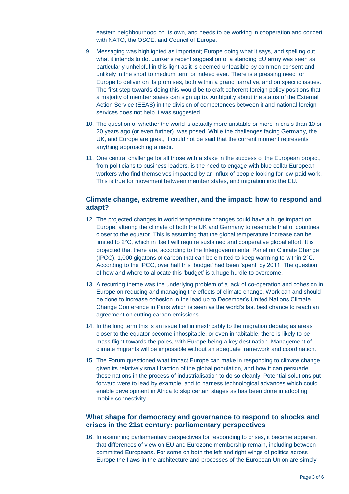eastern neighbourhood on its own, and needs to be working in cooperation and concert with NATO, the OSCE, and Council of Europe.

- 9. Messaging was highlighted as important; Europe doing what it says, and spelling out what it intends to do. Junker's recent suggestion of a standing EU army was seen as particularly unhelpful in this light as it is deemed unfeasible by common consent and unlikely in the short to medium term or indeed ever. There is a pressing need for Europe to deliver on its promises, both within a grand narrative, and on specific issues. The first step towards doing this would be to craft coherent foreign policy positions that a majority of member states can sign up to. Ambiguity about the status of the External Action Service (EEAS) in the division of competences between it and national foreign services does not help it was suggested.
- 10. The question of whether the world is actually more unstable or more in crisis than 10 or 20 years ago (or even further), was posed. While the challenges facing Germany, the UK, and Europe are great, it could not be said that the current moment represents anything approaching a nadir.
- 11. One central challenge for all those with a stake in the success of the European project, from politicians to business leaders, is the need to engage with blue collar European workers who find themselves impacted by an influx of people looking for low-paid work. This is true for movement between member states, and migration into the EU.

#### **Climate change, extreme weather, and the impact: how to respond and adapt?**

- 12. The projected changes in world temperature changes could have a huge impact on Europe, altering the climate of both the UK and Germany to resemble that of countries closer to the equator. This is assuming that the global temperature increase can be limited to 2°C, which in itself will require sustained and cooperative global effort. It is projected that there are, according to the Intergovernmental Panel on Climate Change (IPCC), 1,000 gigatons of carbon that can be emitted to keep warming to within 2°C. According to the IPCC, over half this 'budget' had been 'spent' by 2011. The question of how and where to allocate this 'budget' is a huge hurdle to overcome.
- 13. A recurring theme was the underlying problem of a lack of co-operation and cohesion in Europe on reducing and managing the effects of climate change. Work can and should be done to increase cohesion in the lead up to December's United Nations Climate Change Conference in Paris which is seen as the world's last best chance to reach an agreement on cutting carbon emissions.
- 14. In the long term this is an issue tied in inextricably to the migration debate; as areas closer to the equator become inhospitable, or even inhabitable, there is likely to be mass flight towards the poles, with Europe being a key destination. Management of climate migrants will be impossible without an adequate framework and coordination.
- 15. The Forum questioned what impact Europe can make in responding to climate change given its relatively small fraction of the global population, and how it can persuade those nations in the process of industrialisation to do so cleanly. Potential solutions put forward were to lead by example, and to harness technological advances which could enable development in Africa to skip certain stages as has been done in adopting mobile connectivity.

#### **What shape for democracy and governance to respond to shocks and crises in the 21st century: parliamentary perspectives**

16. In examining parliamentary perspectives for responding to crises, it became apparent that differences of view on EU and Eurozone membership remain, including between committed Europeans. For some on both the left and right wings of politics across Europe the flaws in the architecture and processes of the European Union are simply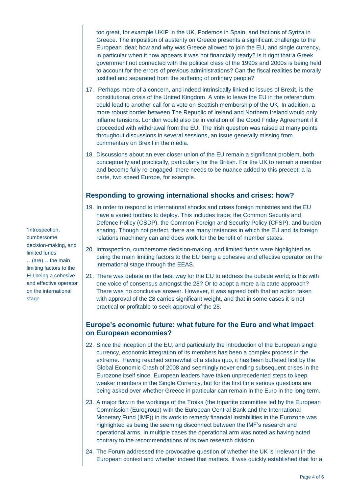too great, for example UKIP in the UK, Podemos in Spain, and factions of Syriza in Greece. The imposition of austerity on Greece presents a significant challenge to the European ideal; how and why was Greece allowed to join the EU, and single currency, in particular when it now appears it was not financially ready? Is it right that a Greek government not connected with the political class of the 1990s and 2000s is being held to account for the errors of previous administrations? Can the fiscal realities be morally justified and separated from the suffering of ordinary people?

- 17. Perhaps more of a concern, and indeed intrinsically linked to issues of Brexit, is the constitutional crisis of the United Kingdom. A vote to leave the EU in the referendum could lead to another call for a vote on Scottish membership of the UK. In addition, a more robust border between The Republic of Ireland and Northern Ireland would only inflame tensions. London would also be in violation of the Good Friday Agreement if it proceeded with withdrawal from the EU. The Irish question was raised at many points throughout discussions in several sessions, an issue generally missing from commentary on Brexit in the media.
- 18. Discussions about an ever closer union of the EU remain a significant problem, both conceptually and practically, particularly for the British. For the UK to remain a member and become fully re-engaged, there needs to be nuance added to this precept; a la carte, two speed Europe, for example.

### **Responding to growing international shocks and crises: how?**

- 19. In order to respond to international shocks and crises foreign ministries and the EU have a varied toolbox to deploy. This includes trade; the Common Security and Defence Policy (CSDP), the Common Foreign and Security Policy (CFSP), and burden sharing. Though not perfect, there are many instances in which the EU and its foreign relations machinery can and does work for the benefit of member states.
- 20. Introspection, cumbersome decision-making, and limited funds were highlighted as being the main limiting factors to the EU being a cohesive and effective operator on the international stage through the EEAS.
- 21. There was debate on the best way for the EU to address the outside world; is this with one voice of consensus amongst the 28? Or to adopt a more a la carte approach? There was no conclusive answer. However, it was agreed both that an action taken with approval of the 28 carries significant weight, and that in some cases it is not practical or profitable to seek approval of the 28.

#### **Europe's economic future: what future for the Euro and what impact on European economies?**

- 22. Since the inception of the EU, and particularly the introduction of the European single currency, economic integration of its members has been a complex process in the extreme. Having reached somewhat of a status quo, it has been buffeted first by the Global Economic Crash of 2008 and seemingly never ending subsequent crises in the Eurozone itself since. European leaders have taken unprecedented steps to keep weaker members in the Single Currency, but for the first time serious questions are being asked over whether Greece in particular can remain in the Euro in the long term.
- 23. A major flaw in the workings of the Troika (the tripartite committee led by the European Commission (Eurogroup) with the European Central Bank and the International Monetary Fund (IMF)) in its work to remedy financial instabilities in the Eurozone was highlighted as being the seeming disconnect between the IMF's research and operational arms. In multiple cases the operational arm was noted as having acted contrary to the recommendations of its own research division.
- 24. The Forum addressed the provocative question of whether the UK is irrelevant in the European context and whether indeed that matters. It was quickly established that for a

"Introspection, cumbersome decision-making, and limited funds …(are)… the main limiting factors to the EU being a cohesive and effective operator on the international stage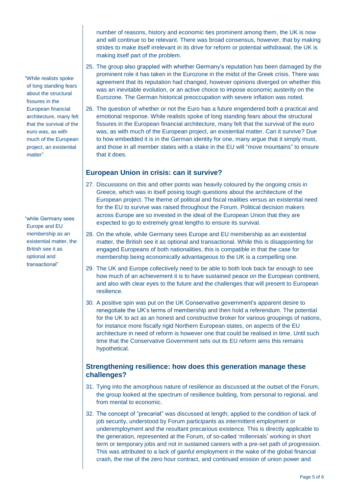number of reasons, history and economic ties prominent among them, the UK is now and will continue to be relevant. There was broad consensus, however, that by making strides to make itself irrelevant in its drive for reform or potential withdrawal, the UK is making itself part of the problem.

- 25. The group also grappled with whether Germany's reputation has been damaged by the prominent role it has taken in the Eurozone in the midst of the Greek crisis. There was agreement that its reputation had changed, however opinions diverged on whether this was an inevitable evolution, or an active choice to impose economic austerity on the Eurozone. The German historical preoccupation with severe inflation was noted.
- 26. The question of whether or not the Euro has a future engendered both a practical and emotional response. While realists spoke of long standing fears about the structural fissures in the European financial architecture, many felt that the survival of the euro was, as with much of the European project, an existential matter. Can it survive? Due to how embedded it is in the German identity for one, many argue that it simply must, and those in all member states with a stake in the EU will "move mountains" to ensure that it does.

### **European Union in crisis: can it survive?**

- 27. Discussions on this and other points was heavily coloured by the ongoing crisis in Greece, which was in itself posing tough questions about the architecture of the European project. The theme of political and fiscal realities versus an existential need for the EU to survive was raised throughout the Forum. Political decision makers across Europe are so invested in the ideal of the European Union that they are expected to go to extremely great lengths to ensure its survival.
- 28. On the whole, while Germany sees Europe and EU membership as an existential matter, the British see it as optional and transactional. While this is disappointing for engaged Europeans of both nationalities, this is compatible in that the case for membership being economically advantageous to the UK is a compelling one.
- 29. The UK and Europe collectively need to be able to both look back far enough to see how much of an achievement it is to have sustained peace on the European continent, and also with clear eyes to the future and the challenges that will present to European resilience.
- 30. A positive spin was put on the UK Conservative government's apparent desire to renegotiate the UK's terms of membership and then hold a referendum. The potential for the UK to act as an honest and constructive broker for various groupings of nations, for instance more fiscally rigid Northern European states, on aspects of the EU architecture in need of reform is however one that could be realised in time. Until such time that the Conservative Government sets out its EU reform aims this remains hypothetical.

## **Strengthening resilience: how does this generation manage these challenges?**

- 31. Tying into the amorphous nature of resilience as discussed at the outset of the Forum, the group looked at the spectrum of resilience building, from personal to regional, and from mental to economic.
- 32. The concept of "precariat" was discussed at length; applied to the condition of lack of job security, understood by Forum participants as intermittent employment or underemployment and the resultant precarious existence. This is directly applicable to the generation, represented at the Forum, of so-called 'millennials' working in short term or temporary jobs and not in sustained careers with a pre-set path of progression. This was attributed to a lack of gainful employment in the wake of the global financial crash, the rise of the zero hour contract, and continued erosion of union power and

"While realists spoke of long standing fears about the structural fissures in the European financial architecture, many felt that the survival of the euro was, as with much of the European project, an existential matter"

"while Germany sees Europe and EU membership as an existential matter, the British see it as optional and transactional"